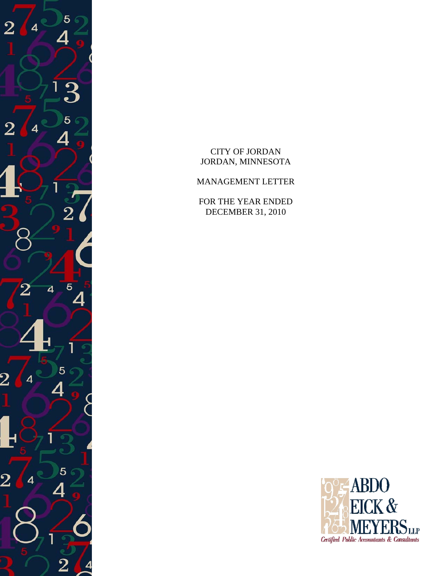

CITY OF JORDAN JORDAN, MINNESOTA

MANAGEMENT LETTER

FOR THE YEAR ENDED DECEMBER 31, 2010

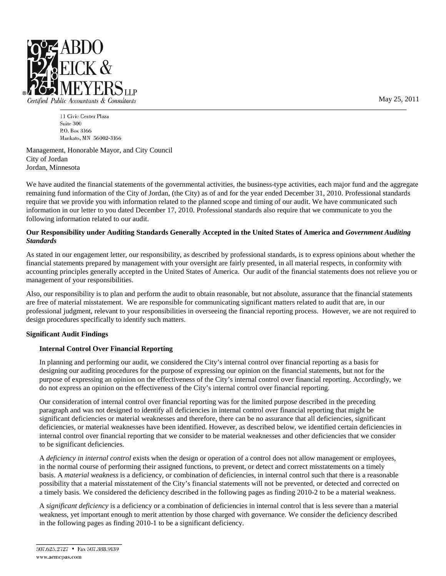

Certified Public Accountants & Consultants

11 Civic Center Plaza Suite 300 P.O. Box 3166 Mankato, MN 56002-3166

Management, Honorable Mayor, and City Council City of Jordan Jordan, Minnesota

We have audited the financial statements of the governmental activities, the business-type activities, each major fund and the aggregate remaining fund information of the City of Jordan, (the City) as of and for the year ended December 31, 2010. Professional standards require that we provide you with information related to the planned scope and timing of our audit. We have communicated such information in our letter to you dated December 17, 2010. Professional standards also require that we communicate to you the following information related to our audit.

#### **Our Responsibility under Auditing Standards Generally Accepted in the United States of America and** *Government Auditing Standards*

As stated in our engagement letter, our responsibility, as described by professional standards, is to express opinions about whether the financial statements prepared by management with your oversight are fairly presented, in all material respects, in conformity with accounting principles generally accepted in the United States of America. Our audit of the financial statements does not relieve you or management of your responsibilities.

Also, our responsibility is to plan and perform the audit to obtain reasonable, but not absolute, assurance that the financial statements are free of material misstatement. We are responsible for communicating significant matters related to audit that are, in our professional judgment, relevant to your responsibilities in overseeing the financial reporting process. However, we are not required to design procedures specifically to identify such matters.

#### **Significant Audit Findings**

#### **Internal Control Over Financial Reporting**

In planning and performing our audit, we considered the City's internal control over financial reporting as a basis for designing our auditing procedures for the purpose of expressing our opinion on the financial statements, but not for the purpose of expressing an opinion on the effectiveness of the City's internal control over financial reporting. Accordingly, we do not express an opinion on the effectiveness of the City's internal control over financial reporting.

Our consideration of internal control over financial reporting was for the limited purpose described in the preceding paragraph and was not designed to identify all deficiencies in internal control over financial reporting that might be significant deficiencies or material weaknesses and therefore, there can be no assurance that all deficiencies, significant deficiencies, or material weaknesses have been identified. However, as described below, we identified certain deficiencies in internal control over financial reporting that we consider to be material weaknesses and other deficiencies that we consider to be significant deficiencies.

A *deficiency in internal control* exists when the design or operation of a control does not allow management or employees, in the normal course of performing their assigned functions, to prevent, or detect and correct misstatements on a timely basis. A *material weakness* is a deficiency, or combination of deficiencies, in internal control such that there is a reasonable possibility that a material misstatement of the City's financial statements will not be prevented, or detected and corrected on a timely basis. We considered the deficiency described in the following pages as finding 2010-2 to be a material weakness.

A *significant deficiency* is a deficiency or a combination of deficiencies in internal control that is less severe than a material weakness, yet important enough to merit attention by those charged with governance. We consider the deficiency described in the following pages as finding 2010-1 to be a significant deficiency.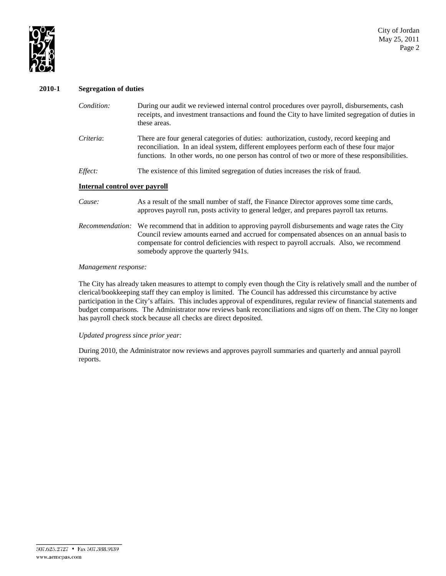

#### **2010-1 Segregation of duties**

| Condition:                    | During our audit we reviewed internal control procedures over payroll, disbursements, cash<br>receipts, and investment transactions and found the City to have limited segregation of duties in<br>these areas.                                                                                                          |
|-------------------------------|--------------------------------------------------------------------------------------------------------------------------------------------------------------------------------------------------------------------------------------------------------------------------------------------------------------------------|
| Criteria:                     | There are four general categories of duties: authorization, custody, record keeping and<br>reconciliation. In an ideal system, different employees perform each of these four major<br>functions. In other words, no one person has control of two or more of these responsibilities.                                    |
| Effect:                       | The existence of this limited segregation of duties increases the risk of fraud.                                                                                                                                                                                                                                         |
| Internal control over payroll |                                                                                                                                                                                                                                                                                                                          |
| Cause:                        | As a result of the small number of staff, the Finance Director approves some time cards,<br>approves payroll run, posts activity to general ledger, and prepares payroll tax returns.                                                                                                                                    |
| Recommendation:               | We recommend that in addition to approving payroll disbursements and wage rates the City<br>Council review amounts earned and accrued for compensated absences on an annual basis to<br>compensate for control deficiencies with respect to payroll accruals. Also, we recommend<br>somebody approve the quarterly 941s. |

#### *Management response:*

The City has already taken measures to attempt to comply even though the City is relatively small and the number of clerical/bookkeeping staff they can employ is limited. The Council has addressed this circumstance by active participation in the City's affairs. This includes approval of expenditures, regular review of financial statements and budget comparisons. The Administrator now reviews bank reconciliations and signs off on them. The City no longer has payroll check stock because all checks are direct deposited.

#### *Updated progress since prior year:*

During 2010, the Administrator now reviews and approves payroll summaries and quarterly and annual payroll reports.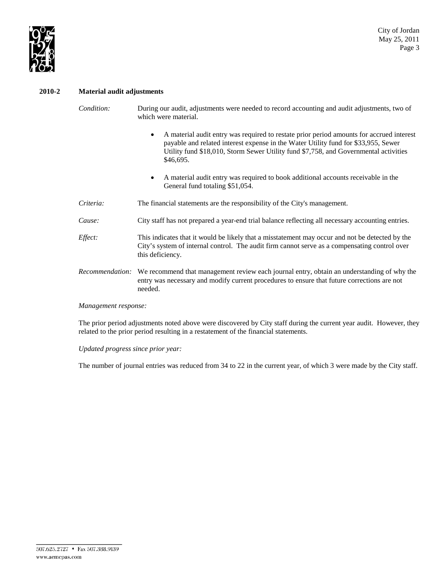

#### **2010-2 Material audit adjustments**

*Condition:* During our audit, adjustments were needed to record accounting and audit adjustments, two of which were material.

- A material audit entry was required to restate prior period amounts for accrued interest payable and related interest expense in the Water Utility fund for \$33,955, Sewer Utility fund \$18,010, Storm Sewer Utility fund \$7,758, and Governmental activities \$46,695.
- A material audit entry was required to book additional accounts receivable in the General fund totaling \$51,054.
- *Criteria:* The financial statements are the responsibility of the City's management.
- *Cause:* City staff has not prepared a year-end trial balance reflecting all necessary accounting entries.
- *Effect:* This indicates that it would be likely that a misstatement may occur and not be detected by the City's system of internal control. The audit firm cannot serve as a compensating control over this deficiency.
- *Recommendation:* We recommend that management review each journal entry, obtain an understanding of why the entry was necessary and modify current procedures to ensure that future corrections are not needed.

*Management response:*

The prior period adjustments noted above were discovered by City staff during the current year audit. However, they related to the prior period resulting in a restatement of the financial statements.

*Updated progress since prior year:*

The number of journal entries was reduced from 34 to 22 in the current year, of which 3 were made by the City staff.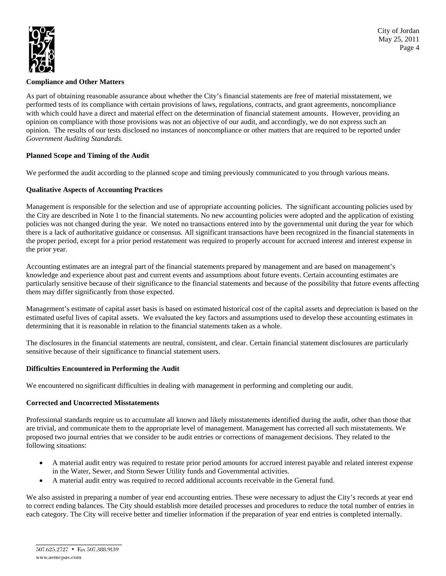

#### **Compliance and Other Matters**

As part of obtaining reasonable assurance about whether the City's financial statements are free of material misstatement, we performed tests of its compliance with certain provisions of laws, regulations, contracts, and grant agreements, noncompliance with which could have a direct and material effect on the determination of financial statement amounts. However, providing an opinion on compliance with those provisions was not an objective of our audit, and accordingly, we do not express such an opinion. The results of our tests disclosed no instances of noncompliance or other matters that are required to be reported under *Government Auditing Standards.*

## **Planned Scope and Timing of the Audit**

We performed the audit according to the planned scope and timing previously communicated to you through various means.

## **Qualitative Aspects of Accounting Practices**

Management is responsible for the selection and use of appropriate accounting policies. The significant accounting policies used by the City are described in Note 1 to the financial statements. No new accounting policies were adopted and the application of existing policies was not changed during the year. We noted no transactions entered into by the governmental unit during the year for which there is a lack of authoritative guidance or consensus. All significant transactions have been recognized in the financial statements in the proper period, except for a prior period restatement was required to properly account for accrued interest and interest expense in the prior year.

Accounting estimates are an integral part of the financial statements prepared by management and are based on management's knowledge and experience about past and current events and assumptions about future events. Certain accounting estimates are particularly sensitive because of their significance to the financial statements and because of the possibility that future events affecting them may differ significantly from those expected.

Management's estimate of capital asset basis is based on estimated historical cost of the capital assets and depreciation is based on the estimated useful lives of capital assets. We evaluated the key factors and assumptions used to develop these accounting estimates in determining that it is reasonable in relation to the financial statements taken as a whole.

The disclosures in the financial statements are neutral, consistent, and clear. Certain financial statement disclosures are particularly sensitive because of their significance to financial statement users.

#### **Difficulties Encountered in Performing the Audit**

We encountered no significant difficulties in dealing with management in performing and completing our audit.

#### **Corrected and Uncorrected Misstatements**

Professional standards require us to accumulate all known and likely misstatements identified during the audit, other than those that are trivial, and communicate them to the appropriate level of management. Management has corrected all such misstatements. We proposed two journal entries that we consider to be audit entries or corrections of management decisions. They related to the following situations:

- A material audit entry was required to restate prior period amounts for accrued interest payable and related interest expense in the Water, Sewer, and Storm Sewer Utility funds and Governmental activities.
- A material audit entry was required to record additional accounts receivable in the General fund.

We also assisted in preparing a number of year end accounting entries. These were necessary to adjust the City's records at year end to correct ending balances. The City should establish more detailed processes and procedures to reduce the total number of entries in each category. The City will receive better and timelier information if the preparation of year end entries is completed internally.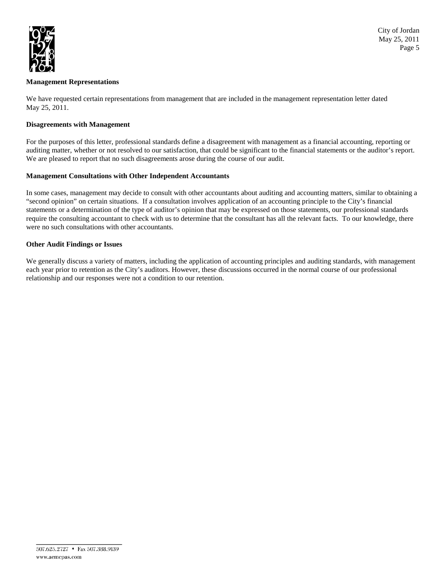

City of Jordan May 25, 2011 Page 5

#### **Management Representations**

We have requested certain representations from management that are included in the management representation letter dated May 25, 2011.

#### **Disagreements with Management**

For the purposes of this letter, professional standards define a disagreement with management as a financial accounting, reporting or auditing matter, whether or not resolved to our satisfaction, that could be significant to the financial statements or the auditor's report. We are pleased to report that no such disagreements arose during the course of our audit.

## **Management Consultations with Other Independent Accountants**

In some cases, management may decide to consult with other accountants about auditing and accounting matters, similar to obtaining a "second opinion" on certain situations. If a consultation involves application of an accounting principle to the City's financial statements or a determination of the type of auditor's opinion that may be expressed on those statements, our professional standards require the consulting accountant to check with us to determine that the consultant has all the relevant facts. To our knowledge, there were no such consultations with other accountants.

## **Other Audit Findings or Issues**

We generally discuss a variety of matters, including the application of accounting principles and auditing standards, with management each year prior to retention as the City's auditors. However, these discussions occurred in the normal course of our professional relationship and our responses were not a condition to our retention.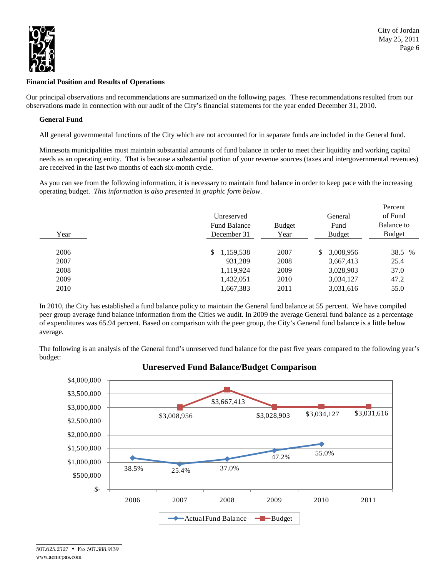

#### **Financial Position and Results of Operations**

Our principal observations and recommendations are summarized on the following pages. These recommendations resulted from our observations made in connection with our audit of the City's financial statements for the year ended December 31, 2010.

#### **General Fund**

All general governmental functions of the City which are not accounted for in separate funds are included in the General fund.

Minnesota municipalities must maintain substantial amounts of fund balance in order to meet their liquidity and working capital needs as an operating entity. That is because a substantial portion of your revenue sources (taxes and intergovernmental revenues) are received in the last two months of each six-month cycle.

As you can see from the following information, it is necessary to maintain fund balance in order to keep pace with the increasing operating budget. *This information is also presented in graphic form below*.

| Year | Unreserved<br><b>Fund Balance</b><br>December 31 | <b>Budget</b><br>Year | General<br>Fund<br><b>Budget</b> | Percent<br>of Fund<br>Balance to<br><b>Budget</b> |
|------|--------------------------------------------------|-----------------------|----------------------------------|---------------------------------------------------|
| 2006 | \$1,159,538                                      | 2007                  | 3,008,956<br>S.                  | 38.5 %                                            |
| 2007 | 931.289                                          | 2008                  | 3,667,413                        | 25.4                                              |
| 2008 | 1,119,924                                        | 2009                  | 3,028,903                        | 37.0                                              |
| 2009 | 1,432,051                                        | 2010                  | 3,034,127                        | 47.2                                              |
| 2010 | 1,667,383                                        | 2011                  | 3,031,616                        | 55.0                                              |

In 2010, the City has established a fund balance policy to maintain the General fund balance at 55 percent. We have compiled peer group average fund balance information from the Cities we audit. In 2009 the average General fund balance as a percentage of expenditures was 65.94 percent. Based on comparison with the peer group, the City's General fund balance is a little below average.

The following is an analysis of the General fund's unreserved fund balance for the past five years compared to the following year's budget:



# **Unreserved Fund Balance/Budget Comparison**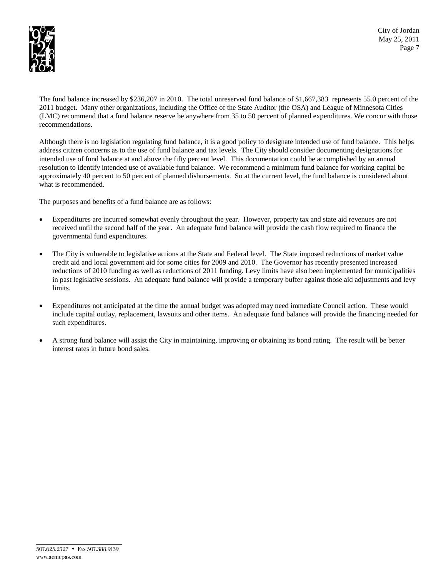

City of Jordan May 25, 2011 Page 7

The fund balance increased by \$236,207 in 2010. The total unreserved fund balance of \$1,667,383 represents 55.0 percent of the 2011 budget. Many other organizations, including the Office of the State Auditor (the OSA) and League of Minnesota Cities (LMC) recommend that a fund balance reserve be anywhere from 35 to 50 percent of planned expenditures. We concur with those recommendations.

Although there is no legislation regulating fund balance, it is a good policy to designate intended use of fund balance. This helps address citizen concerns as to the use of fund balance and tax levels. The City should consider documenting designations for intended use of fund balance at and above the fifty percent level. This documentation could be accomplished by an annual resolution to identify intended use of available fund balance. We recommend a minimum fund balance for working capital be approximately 40 percent to 50 percent of planned disbursements. So at the current level, the fund balance is considered about what is recommended.

The purposes and benefits of a fund balance are as follows:

- Expenditures are incurred somewhat evenly throughout the year. However, property tax and state aid revenues are not received until the second half of the year. An adequate fund balance will provide the cash flow required to finance the governmental fund expenditures.
- The City is vulnerable to legislative actions at the State and Federal level. The State imposed reductions of market value credit aid and local government aid for some cities for 2009 and 2010. The Governor has recently presented increased reductions of 2010 funding as well as reductions of 2011 funding. Levy limits have also been implemented for municipalities in past legislative sessions. An adequate fund balance will provide a temporary buffer against those aid adjustments and levy limits.
- Expenditures not anticipated at the time the annual budget was adopted may need immediate Council action. These would include capital outlay, replacement, lawsuits and other items. An adequate fund balance will provide the financing needed for such expenditures.
- A strong fund balance will assist the City in maintaining, improving or obtaining its bond rating. The result will be better interest rates in future bond sales.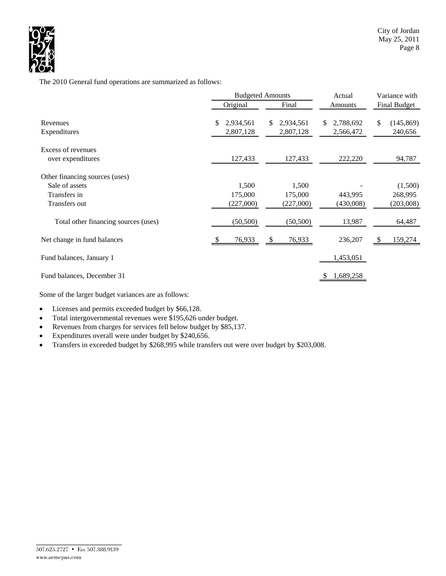

The 2010 General fund operations are summarized as follows:

|                                                                                   |     | <b>Budgeted Amounts</b>       |    |                               | Actual |                        | Variance with |                                 |  |
|-----------------------------------------------------------------------------------|-----|-------------------------------|----|-------------------------------|--------|------------------------|---------------|---------------------------------|--|
|                                                                                   |     | Original                      |    | Final                         |        | Amounts                |               | Final Budget                    |  |
| Revenues<br>Expenditures                                                          | \$. | 2,934,561<br>2,807,128        | S. | 2,934,561<br>2,807,128        | S.     | 2,788,692<br>2,566,472 | \$            | (145, 869)<br>240,656           |  |
| Excess of revenues<br>over expenditures                                           |     | 127,433                       |    | 127,433                       |        | 222,220                |               | 94,787                          |  |
| Other financing sources (uses)<br>Sale of assets<br>Transfers in<br>Transfers out |     | 1,500<br>175,000<br>(227,000) |    | 1,500<br>175,000<br>(227,000) |        | 443,995<br>(430,008)   |               | (1,500)<br>268,995<br>(203,008) |  |
| Total other financing sources (uses)                                              |     | (50, 500)                     |    | (50, 500)                     |        | 13,987                 |               | 64,487                          |  |
| Net change in fund balances                                                       |     | 76,933                        | -S | 76,933                        |        | 236,207                | -S            | 159,274                         |  |
| Fund balances, January 1                                                          |     |                               |    |                               |        | 1,453,051              |               |                                 |  |
| Fund balances, December 31                                                        |     |                               |    |                               |        | 1,689,258              |               |                                 |  |

Some of the larger budget variances are as follows:

- Licenses and permits exceeded budget by \$66,128.
- Total intergovernmental revenues were \$195,626 under budget.
- Revenues from charges for services fell below budget by \$85,137.
- Expenditures overall were under budget by \$240,656.
- Transfers in exceeded budget by \$268,995 while transfers out were over budget by \$203,008.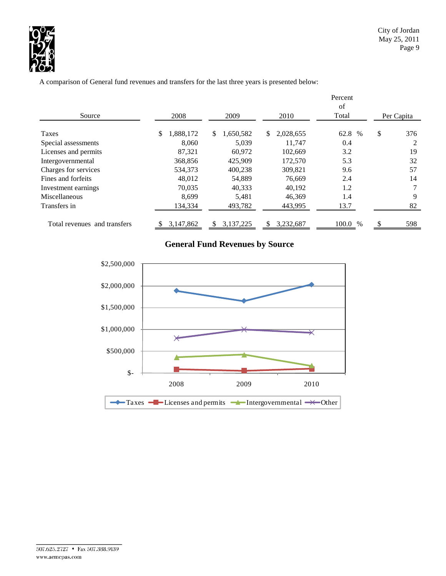

A comparison of General fund revenues and transfers for the last three years is presented below:

|                              |                 |                 |                 | Percent<br>of |            |                |
|------------------------------|-----------------|-----------------|-----------------|---------------|------------|----------------|
| Source                       | 2008            | 2009            | 2010            | Total         | Per Capita |                |
| <b>Taxes</b>                 | 1,888,172<br>\$ | \$<br>,650,582  | 2,028,655<br>\$ | 62.8<br>$\%$  | \$         | 376            |
| Special assessments          | 8.060           | 5,039           | 11.747          | 0.4           |            | $\overline{c}$ |
| Licenses and permits         | 87,321          | 60.972          | 102,669         | 3.2           |            | 19             |
| Intergovernmental            | 368,856         | 425,909         | 172,570         | 5.3           |            | 32             |
| Charges for services         | 534,373         | 400.238         | 309,821         | 9.6           |            | 57             |
| Fines and forfeits           | 48,012          | 54,889          | 76,669          | 2.4           |            | 14             |
| Investment earnings          | 70.035          | 40.333          | 40.192          | 1.2           |            | 7              |
| <b>Miscellaneous</b>         | 8,699           | 5,481           | 46,369          | 1.4           |            | 9              |
| Transfers in                 | 134,334         | 493,782         | 443,995         | 13.7          |            | 82             |
| Total revenues and transfers | 3.147.862       | 3.137.225<br>S. | 3.232.687<br>S  | 100.0<br>$\%$ | \$         | 598            |

# **General Fund Revenues by Source**

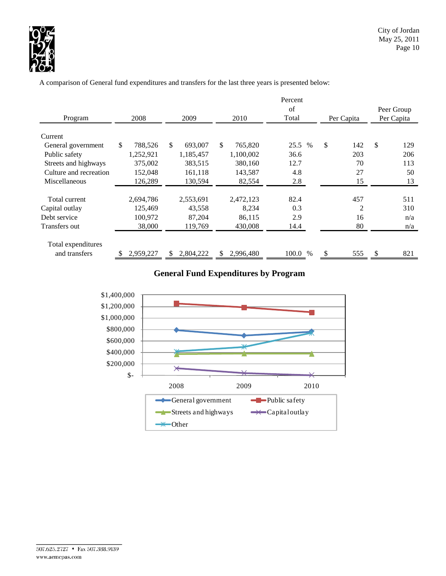

A comparison of General fund expenditures and transfers for the last three years is presented below:

|                        |               |               |               | Percent      |            |            |  |  |
|------------------------|---------------|---------------|---------------|--------------|------------|------------|--|--|
|                        |               |               |               | of           |            |            |  |  |
| Program                | 2008          | 2009          | 2010          | Total        | Per Capita | Per Capita |  |  |
| Current                |               |               |               |              |            |            |  |  |
| General government     | \$<br>788,526 | \$<br>693,007 | \$<br>765,820 | 25.5<br>$\%$ | \$<br>142  | \$<br>129  |  |  |
| Public safety          | 1,252,921     | 1,185,457     | 1,100,002     | 36.6         | 203        | 206        |  |  |
| Streets and highways   | 375,002       | 383,515       | 380,160       | 12.7         | 70         | 113        |  |  |
| Culture and recreation | 152,048       | 161,118       | 143,587       | 4.8          | 27         | 50         |  |  |
| <b>Miscellaneous</b>   | 126,289       | 130,594       | 82,554        | 2.8          | 15         | 13         |  |  |
|                        |               |               |               |              |            |            |  |  |
| Total current          | 2,694,786     | 2,553,691     | 2,472,123     | 82.4         | 457        | 511        |  |  |
| Capital outlay         | 125,469       | 43,558        | 8,234         | 0.3          | 2          | 310        |  |  |
| Debt service           | 100,972       | 87,204        | 86,115        | 2.9          | 16         | n/a        |  |  |
| Transfers out          | 38,000        | 119,769       | 430,008       | 14.4         | 80         | n/a        |  |  |
| Total expenditures     |               |               |               |              |            |            |  |  |
| and transfers          | 2,959,227     | 2,804,222     | 2,996,480     | 100.0 %      | 555        | 821        |  |  |

# **General Fund Expenditures by Program**

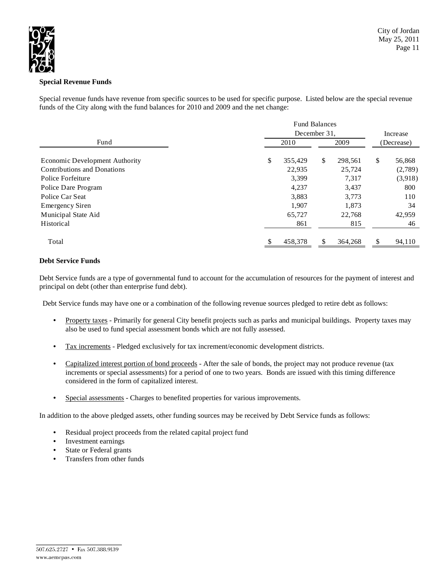

## **Special Revenue Funds**

Special revenue funds have revenue from specific sources to be used for specific purpose. Listed below are the special revenue funds of the City along with the fund balances for 2010 and 2009 and the net change:

|                                       | <b>Fund Balances</b><br>December 31. |      |         |    |            |  |  |
|---------------------------------------|--------------------------------------|------|---------|----|------------|--|--|
| Fund                                  | 2010                                 | 2009 |         |    | (Decrease) |  |  |
| <b>Economic Development Authority</b> | \$<br>355,429                        | \$   | 298,561 | \$ | 56,868     |  |  |
| <b>Contributions and Donations</b>    | 22,935                               |      | 25,724  |    | (2,789)    |  |  |
| Police Forfeiture                     | 3,399                                |      | 7,317   |    | (3,918)    |  |  |
| Police Dare Program                   | 4,237                                |      | 3,437   |    | 800        |  |  |
| Police Car Seat                       | 3,883                                |      | 3.773   |    | 110        |  |  |
| <b>Emergency Siren</b>                | 1,907                                |      | 1,873   |    | 34         |  |  |
| Municipal State Aid                   | 65,727                               |      | 22,768  |    | 42,959     |  |  |
| Historical                            | 861                                  |      | 815     |    | 46         |  |  |
| Total                                 | 458,378                              |      | 364,268 | \$ | 94,110     |  |  |

## **Debt Service Funds**

Debt Service funds are a type of governmental fund to account for the accumulation of resources for the payment of interest and principal on debt (other than enterprise fund debt).

Debt Service funds may have one or a combination of the following revenue sources pledged to retire debt as follows:

- Property taxes Primarily for general City benefit projects such as parks and municipal buildings. Property taxes may also be used to fund special assessment bonds which are not fully assessed.
- Tax increments Pledged exclusively for tax increment/economic development districts.
- Capitalized interest portion of bond proceeds After the sale of bonds, the project may not produce revenue (tax increments or special assessments) for a period of one to two years. Bonds are issued with this timing difference considered in the form of capitalized interest.
- Special assessments Charges to benefited properties for various improvements.

In addition to the above pledged assets, other funding sources may be received by Debt Service funds as follows:

- Residual project proceeds from the related capital project fund
- Investment earnings
- State or Federal grants
- Transfers from other funds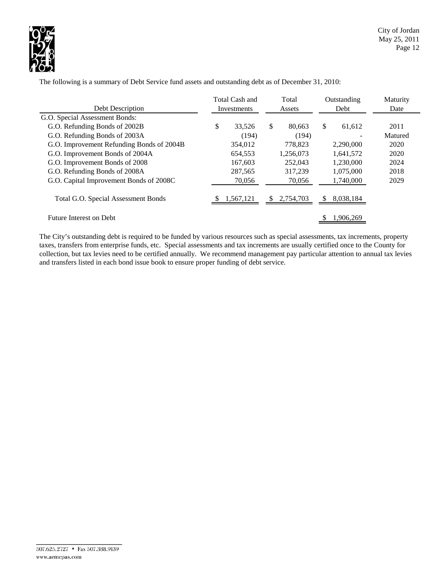

|                                            | Total Cash and |             |    | Total<br>Assets |    | Outstanding | Maturity |
|--------------------------------------------|----------------|-------------|----|-----------------|----|-------------|----------|
| Debt Description                           |                | Investments |    |                 |    | Debt        | Date     |
| G.O. Special Assessment Bonds:             |                |             |    |                 |    |             |          |
| G.O. Refunding Bonds of 2002B              | \$             | 33,526      | \$ | 80.663          | \$ | 61,612      | 2011     |
| G.O. Refunding Bonds of 2003A              |                | (194)       |    | (194)           |    |             | Matured  |
| G.O. Improvement Refunding Bonds of 2004B  |                | 354,012     |    | 778.823         |    | 2,290,000   | 2020     |
| G.O. Improvement Bonds of 2004A            |                | 654,553     |    | 1,256,073       |    | 1.641.572   | 2020     |
| G.O. Improvement Bonds of 2008             |                | 167,603     |    | 252,043         |    | 1,230,000   | 2024     |
| G.O. Refunding Bonds of 2008A              |                | 287,565     |    | 317.239         |    | 1,075,000   | 2018     |
| G.O. Capital Improvement Bonds of 2008C    |                | 70,056      |    | 70,056          |    | 1,740,000   | 2029     |
| <b>Total G.O. Special Assessment Bonds</b> |                | 1,567,121   | S  | 2,754,703       | S. | 8,038,184   |          |
| Future Interest on Debt                    |                |             |    |                 |    | 1,906,269   |          |

The following is a summary of Debt Service fund assets and outstanding debt as of December 31, 2010:

The City's outstanding debt is required to be funded by various resources such as special assessments, tax increments, property taxes, transfers from enterprise funds, etc. Special assessments and tax increments are usually certified once to the County for collection, but tax levies need to be certified annually. We recommend management pay particular attention to annual tax levies and transfers listed in each bond issue book to ensure proper funding of debt service.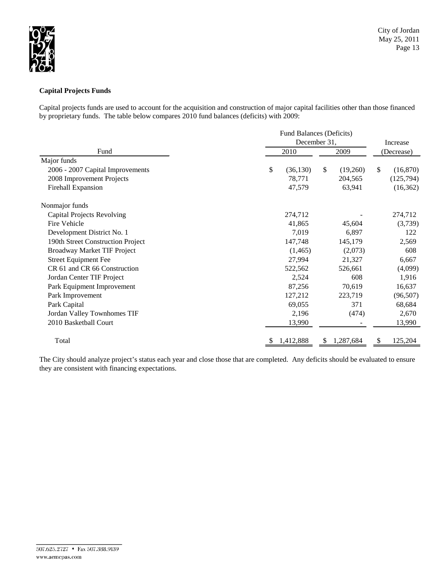

## **Capital Projects Funds**

Capital projects funds are used to account for the acquisition and construction of major capital facilities other than those financed by proprietary funds. The table below compares 2010 fund balances (deficits) with 2009:

|                                    |                 | Fund Balances (Deficits) |                |  |  |  |  |  |
|------------------------------------|-----------------|--------------------------|----------------|--|--|--|--|--|
|                                    |                 | December 31,             | Increase       |  |  |  |  |  |
| Fund                               | 2010            | 2009                     | (Decrease)     |  |  |  |  |  |
| Major funds                        |                 |                          |                |  |  |  |  |  |
| 2006 - 2007 Capital Improvements   | \$<br>(36, 130) | \$<br>(19,260)           | \$<br>(16,870) |  |  |  |  |  |
| 2008 Improvement Projects          | 78,771          | 204,565                  | (125, 794)     |  |  |  |  |  |
| Firehall Expansion                 | 47,579          | 63,941                   | (16, 362)      |  |  |  |  |  |
| Nonmajor funds                     |                 |                          |                |  |  |  |  |  |
| <b>Capital Projects Revolving</b>  | 274,712         |                          | 274,712        |  |  |  |  |  |
| Fire Vehicle                       | 41,865          | 45,604                   | (3,739)        |  |  |  |  |  |
| Development District No. 1         | 7,019           | 6,897                    | 122            |  |  |  |  |  |
| 190th Street Construction Project  | 147,748         | 145,179                  | 2,569          |  |  |  |  |  |
| <b>Broadway Market TIF Project</b> | (1, 465)        | (2,073)                  | 608            |  |  |  |  |  |
| <b>Street Equipment Fee</b>        | 27,994          | 21,327                   | 6,667          |  |  |  |  |  |
| CR 61 and CR 66 Construction       | 522,562         | 526,661                  | (4,099)        |  |  |  |  |  |
| Jordan Center TIF Project          | 2,524           | 608                      | 1,916          |  |  |  |  |  |
| Park Equipment Improvement         | 87,256          | 70,619                   | 16,637         |  |  |  |  |  |
| Park Improvement                   | 127,212         | 223,719                  | (96, 507)      |  |  |  |  |  |
| Park Capital                       | 69,055          | 371                      | 68,684         |  |  |  |  |  |
| Jordan Valley Townhomes TIF        | 2,196           | (474)                    | 2,670          |  |  |  |  |  |
| 2010 Basketball Court              | 13,990          |                          | 13,990         |  |  |  |  |  |
| Total                              | 1,412,888       | 1,287,684                | 125,204<br>S   |  |  |  |  |  |

The City should analyze project's status each year and close those that are completed. Any deficits should be evaluated to ensure they are consistent with financing expectations.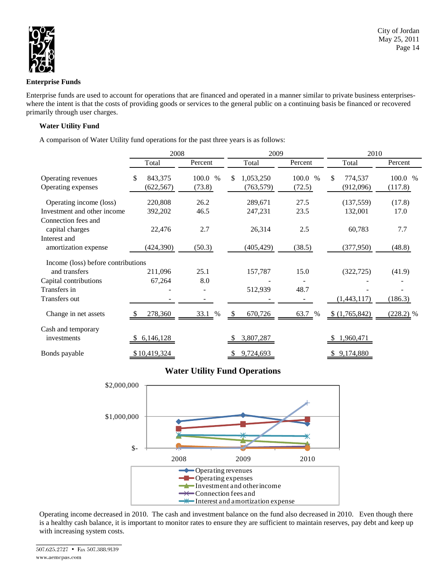

#### **Enterprise Funds**

Enterprise funds are used to account for operations that are financed and operated in a manner similar to private business enterpriseswhere the intent is that the costs of providing goods or services to the general public on a continuing basis be financed or recovered primarily through user charges.

## **Water Utility Fund**

A comparison of Water Utility fund operations for the past three years is as follows:

|                                                                               | 2008                        |                         | 2009                          |                   | 2010                       |                    |  |  |
|-------------------------------------------------------------------------------|-----------------------------|-------------------------|-------------------------------|-------------------|----------------------------|--------------------|--|--|
|                                                                               | Total                       | Percent                 | Total                         | Percent           | Total                      | Percent            |  |  |
| Operating revenues<br>Operating expenses                                      | \$<br>843,375<br>(622, 567) | 100.0<br>$\%$<br>(73.8) | 1,053,250<br>S.<br>(763, 579) | 100.0 %<br>(72.5) | \$<br>774,537<br>(912,096) | 100.0 %<br>(117.8) |  |  |
| Operating income (loss)<br>Investment and other income<br>Connection fees and | 220,808<br>392,202          | 26.2<br>46.5            | 289,671<br>247,231            | 27.5<br>23.5      | (137, 559)<br>132,001      | (17.8)<br>17.0     |  |  |
| capital charges<br>Interest and<br>amortization expense                       | 22,476<br>(424, 390)        | 2.7<br>(50.3)           | 26,314<br>(405, 429)          | 2.5<br>(38.5)     | 60,783<br>(377, 950)       | 7.7<br>(48.8)      |  |  |
| Income (loss) before contributions                                            |                             |                         |                               |                   |                            |                    |  |  |
| and transfers                                                                 | 211,096                     | 25.1                    | 157,787                       | 15.0              | (322, 725)                 | (41.9)             |  |  |
| Capital contributions<br>Transfers in                                         | 67,264                      | 8.0                     | 512,939                       | 48.7              |                            |                    |  |  |
| Transfers out                                                                 |                             |                         |                               |                   | (1,443,117)                | (186.3)            |  |  |
| Change in net assets                                                          | 278,360                     | 33.1<br>%               | 670,726<br>-S                 | 63.7 %            | \$(1,765,842)              | $(228.2)$ %        |  |  |
| Cash and temporary<br>investments                                             | 6,146,128                   |                         | 3,807,287                     |                   | 1,960,471                  |                    |  |  |
| Bonds payable                                                                 | \$10,419,324                |                         | 9,724,693                     |                   | \$9,174,880                |                    |  |  |

# **Water Utility Fund Operations**



Operating income decreased in 2010. The cash and investment balance on the fund also decreased in 2010. Even though there is a healthy cash balance, it is important to monitor rates to ensure they are sufficient to maintain reserves, pay debt and keep up with increasing system costs.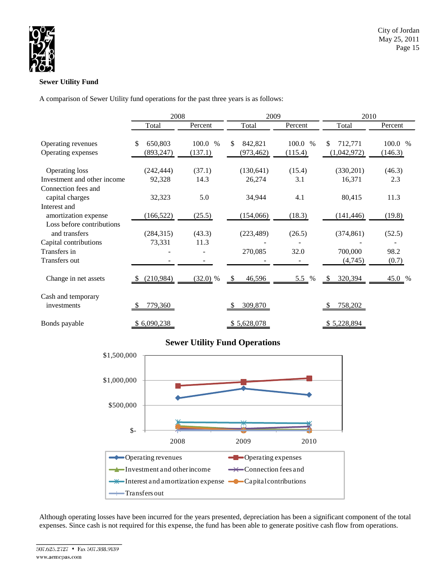

## **Sewer Utility Fund**

A comparison of Sewer Utility fund operations for the past three years is as follows:

|                                        | 2008          |               | 2009          |         | 2010          |         |  |  |
|----------------------------------------|---------------|---------------|---------------|---------|---------------|---------|--|--|
|                                        | Total         | Percent       | Total         | Percent | Total         | Percent |  |  |
| Operating revenues                     | 650,803<br>\$ | 100.0<br>$\%$ | \$<br>842,821 | 100.0 % | \$<br>712,771 | 100.0 % |  |  |
| Operating expenses                     | (893, 247)    | (137.1)       | (973, 462)    | (115.4) | (1,042,972)   | (146.3) |  |  |
|                                        |               |               |               |         |               |         |  |  |
| <b>Operating loss</b>                  | (242, 444)    | (37.1)        | (130, 641)    | (15.4)  | (330,201)     | (46.3)  |  |  |
| Investment and other income            | 92,328        | 14.3          | 26,274        | 3.1     | 16,371        | 2.3     |  |  |
| Connection fees and<br>capital charges | 32,323        | 5.0           | 34,944        | 4.1     | 80,415        | 11.3    |  |  |
| Interest and                           |               |               |               |         |               |         |  |  |
| amortization expense                   | (166, 522)    | (25.5)        | (154,066)     | (18.3)  | (141, 446)    | (19.8)  |  |  |
| Loss before contributions              |               |               |               |         |               |         |  |  |
| and transfers                          | (284, 315)    | (43.3)        | (223, 489)    | (26.5)  | (374, 861)    | (52.5)  |  |  |
| Capital contributions                  | 73,331        | 11.3          |               |         |               |         |  |  |
| Transfers in                           |               |               | 270,085       | 32.0    | 700,000       | 98.2    |  |  |
| Transfers out                          |               |               |               |         | (4,745)       | (0.7)   |  |  |
| Change in net assets                   | (210,984)     | $(32.0)$ %    | 46,596<br>-S  | 5.5 $%$ | 320,394       | 45.0 %  |  |  |
| Cash and temporary<br>investments      | 779,360       |               | 309,870       |         | 758,202       |         |  |  |
|                                        |               |               |               |         |               |         |  |  |
| Bonds payable                          | \$6,090,238   |               | \$5,628,078   |         | \$5,228,894   |         |  |  |

# **Sewer Utility Fund Operations**



Although operating losses have been incurred for the years presented, depreciation has been a significant component of the total expenses. Since cash is not required for this expense, the fund has been able to generate positive cash flow from operations.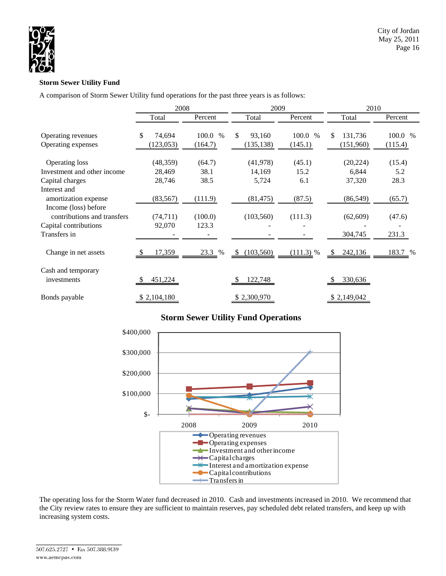

## **Storm Sewer Utility Fund**

A comparison of Storm Sewer Utility fund operations for the past three years is as follows:

|                             | 2008         |               | 2009                    |             | 2010           |         |  |  |
|-----------------------------|--------------|---------------|-------------------------|-------------|----------------|---------|--|--|
|                             | Total        | Percent       | Total                   | Percent     | Total          | Percent |  |  |
| Operating revenues          | \$<br>74,694 | 100.0<br>$\%$ | <sup>\$</sup><br>93,160 | 100.0 %     | \$.<br>131,736 | 100.0 % |  |  |
| Operating expenses          | (123, 053)   | (164.7)       | (135, 138)              | (145.1)     | (151,960)      | (115.4) |  |  |
| <b>Operating loss</b>       | (48, 359)    | (64.7)        | (41, 978)               | (45.1)      | (20, 224)      | (15.4)  |  |  |
| Investment and other income | 28,469       | 38.1          | 14,169                  | 15.2        | 6,844          | 5.2     |  |  |
| Capital charges             | 28,746       | 38.5          | 5,724                   | 6.1         | 37,320         | 28.3    |  |  |
| Interest and                |              |               |                         |             |                |         |  |  |
| amortization expense        | (83, 567)    | (111.9)       | (81, 475)               | (87.5)      | (86, 549)      | (65.7)  |  |  |
| Income (loss) before        |              |               |                         |             |                |         |  |  |
| contributions and transfers | (74, 711)    | (100.0)       | (103, 560)              | (111.3)     | (62, 609)      | (47.6)  |  |  |
| Capital contributions       | 92,070       | 123.3         |                         |             |                |         |  |  |
| Transfers in                |              |               |                         |             | 304,745        | 231.3   |  |  |
| Change in net assets        | 17,359       | 23.3<br>$\%$  | (103, 560)<br>-S        | $(111.3)$ % | 242,136<br>-S  | 183.7 % |  |  |
| Cash and temporary          |              |               |                         |             |                |         |  |  |
| investments                 | 451,224      |               | 122,748                 |             | 330,636        |         |  |  |
| Bonds payable               | \$2,104,180  |               | \$2,300,970             |             | \$2,149,042    |         |  |  |

# **Storm Sewer Utility Fund Operations**



The operating loss for the Storm Water fund decreased in 2010. Cash and investments increased in 2010. We recommend that the City review rates to ensure they are sufficient to maintain reserves, pay scheduled debt related transfers, and keep up with increasing system costs.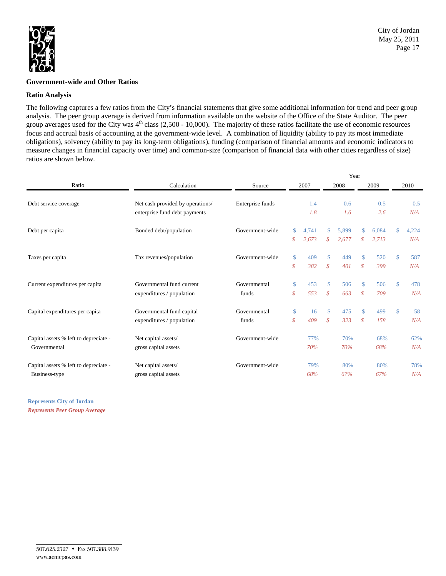

#### **Government-wide and Other Ratios**

#### **Ratio Analysis**

The following captures a few ratios from the City's financial statements that give some additional information for trend and peer group analysis. The peer group average is derived from information available on the website of the Office of the State Auditor. The peer group averages used for the City was  $4<sup>th</sup>$  class (2,500 - 10,000). The majority of these ratios facilitate the use of economic resources focus and accrual basis of accounting at the government-wide level. A combination of liquidity (ability to pay its most immediate obligations), solvency (ability to pay its long-term obligations), funding (comparison of financial amounts and economic indicators to measure changes in financial capacity over time) and common-size (comparison of financial data with other cities regardless of size) ratios are shown below.

|                                       |                                  |                  | Year              |       |                 |       |                    |       |               |       |  |
|---------------------------------------|----------------------------------|------------------|-------------------|-------|-----------------|-------|--------------------|-------|---------------|-------|--|
| Ratio                                 | Calculation                      | Source           | 2007              |       |                 | 2008  |                    | 2009  |               | 2010  |  |
| Debt service coverage                 | Net cash provided by operations/ | Enterprise funds |                   | 1.4   | 0.6             |       | 0.5                |       | 0.5           |       |  |
|                                       | enterprise fund debt payments    |                  |                   | 1.8   |                 | 1.6   |                    | 2.6   |               | N/A   |  |
| Debt per capita                       | Bonded debt/population           | Government-wide  | \$                | 4.741 | \$              | 5.899 | \$                 | 6.084 | \$            | 4,224 |  |
|                                       |                                  |                  | \$                | 2,673 | $\mathcal{S}^-$ | 2,677 | $\mathcal{S}$      | 2,713 |               | N/A   |  |
| Taxes per capita                      | Tax revenues/population          | Government-wide  | $\mathbf{\$}$     | 409   | \$              | 449   | $\mathbf{\$}$      | 520   | $\mathbb{S}$  | 587   |  |
|                                       |                                  |                  | $\mathcal{S}_{0}$ | 382   | \$              | 401   | $\mathcal{S}$      | 399   |               | N/A   |  |
| Current expenditures per capita       | Governmental fund current        | Governmental     | \$                | 453   | $\mathbf{\$}$   | 506   | $\mathbf{\hat{S}}$ | 506   | $\mathbb{S}$  | 478   |  |
|                                       | expenditures / population        | funds            | $\mathcal{S}$     | 553   | $\mathcal{S}$   | 663   | $\mathcal{S}$      | 709   |               | N/A   |  |
| Capital expenditures per capita       | Governmental fund capital        | Governmental     | \$                | 16    | $\mathbf{\$}$   | 475   | $\mathcal{S}$      | 499   | $\mathsf{\$}$ | 58    |  |
|                                       | expenditures / population        | funds            | $\mathcal{S}_{0}$ | 409   | \$              | 323   | $\mathcal{S}$      | 158   |               | N/A   |  |
| Capital assets % left to depreciate - | Net capital assets/              | Government-wide  |                   | 77%   |                 | 70%   |                    | 68%   |               | 62%   |  |
| Governmental                          | gross capital assets             |                  |                   | 70%   |                 | 70%   |                    | 68%   |               | N/A   |  |
| Capital assets % left to depreciate - | Net capital assets/              | Government-wide  |                   | 79%   |                 | 80%   |                    | 80%   |               | 78%   |  |
| Business-type                         | gross capital assets             |                  |                   | 68%   |                 | 67%   |                    | 67%   |               | N/A   |  |

**Represents City of Jordan** *Represents Peer Group Average*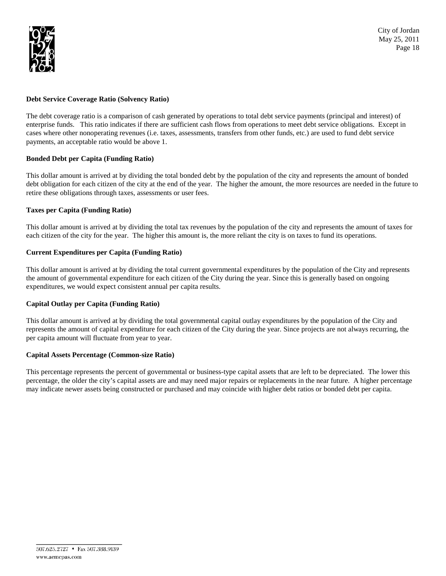

## **Debt Service Coverage Ratio (Solvency Ratio)**

The debt coverage ratio is a comparison of cash generated by operations to total debt service payments (principal and interest) of enterprise funds. This ratio indicates if there are sufficient cash flows from operations to meet debt service obligations. Except in cases where other nonoperating revenues (i.e. taxes, assessments, transfers from other funds, etc.) are used to fund debt service payments, an acceptable ratio would be above 1.

## **Bonded Debt per Capita (Funding Ratio)**

This dollar amount is arrived at by dividing the total bonded debt by the population of the city and represents the amount of bonded debt obligation for each citizen of the city at the end of the year. The higher the amount, the more resources are needed in the future to retire these obligations through taxes, assessments or user fees.

## **Taxes per Capita (Funding Ratio)**

This dollar amount is arrived at by dividing the total tax revenues by the population of the city and represents the amount of taxes for each citizen of the city for the year. The higher this amount is, the more reliant the city is on taxes to fund its operations.

## **Current Expenditures per Capita (Funding Ratio)**

This dollar amount is arrived at by dividing the total current governmental expenditures by the population of the City and represents the amount of governmental expenditure for each citizen of the City during the year. Since this is generally based on ongoing expenditures, we would expect consistent annual per capita results.

#### **Capital Outlay per Capita (Funding Ratio)**

This dollar amount is arrived at by dividing the total governmental capital outlay expenditures by the population of the City and represents the amount of capital expenditure for each citizen of the City during the year. Since projects are not always recurring, the per capita amount will fluctuate from year to year.

#### **Capital Assets Percentage (Common-size Ratio)**

This percentage represents the percent of governmental or business-type capital assets that are left to be depreciated. The lower this percentage, the older the city's capital assets are and may need major repairs or replacements in the near future. A higher percentage may indicate newer assets being constructed or purchased and may coincide with higher debt ratios or bonded debt per capita.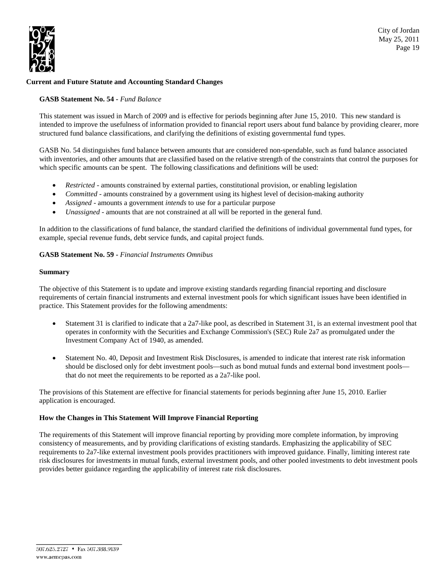

City of Jordan May 25, 2011 Page 19

## **Current and Future Statute and Accounting Standard Changes**

#### **GASB Statement No. 54 -** *Fund Balance*

This statement was issued in March of 2009 and is effective for periods beginning after June 15, 2010. This new standard is intended to improve the usefulness of information provided to financial report users about fund balance by providing clearer, more structured fund balance classifications, and clarifying the definitions of existing governmental fund types.

GASB No. 54 distinguishes fund balance between amounts that are considered non-spendable, such as fund balance associated with inventories, and other amounts that are classified based on the relative strength of the constraints that control the purposes for which specific amounts can be spent. The following classifications and definitions will be used:

- *Restricted* amounts constrained by external parties, constitutional provision, or enabling legislation
- *Committed* amounts constrained by a government using its highest level of decision-making authority
- *Assigned* amounts a government *intends* to use for a particular purpose
- *Unassigned* amounts that are not constrained at all will be reported in the general fund.

In addition to the classifications of fund balance, the standard clarified the definitions of individual governmental fund types, for example, special revenue funds, debt service funds, and capital project funds.

#### **GASB Statement No. 59 -** *Financial Instruments Omnibus*

#### **Summary**

The objective of this Statement is to update and improve existing standards regarding financial reporting and disclosure requirements of certain financial instruments and external investment pools for which significant issues have been identified in practice. This Statement provides for the following amendments:

- Statement 31 is clarified to indicate that a 2a7-like pool, as described in Statement 31, is an external investment pool that operates in conformity with the Securities and Exchange Commission's (SEC) Rule 2a7 as promulgated under the Investment Company Act of 1940, as amended.
- Statement No. 40, Deposit and Investment Risk Disclosures, is amended to indicate that interest rate risk information should be disclosed only for debt investment pools—such as bond mutual funds and external bond investment pools that do not meet the requirements to be reported as a 2a7-like pool.

The provisions of this Statement are effective for financial statements for periods beginning after June 15, 2010. Earlier application is encouraged.

#### **How the Changes in This Statement Will Improve Financial Reporting**

The requirements of this Statement will improve financial reporting by providing more complete information, by improving consistency of measurements, and by providing clarifications of existing standards. Emphasizing the applicability of SEC requirements to 2a7-like external investment pools provides practitioners with improved guidance. Finally, limiting interest rate risk disclosures for investments in mutual funds, external investment pools, and other pooled investments to debt investment pools provides better guidance regarding the applicability of interest rate risk disclosures.